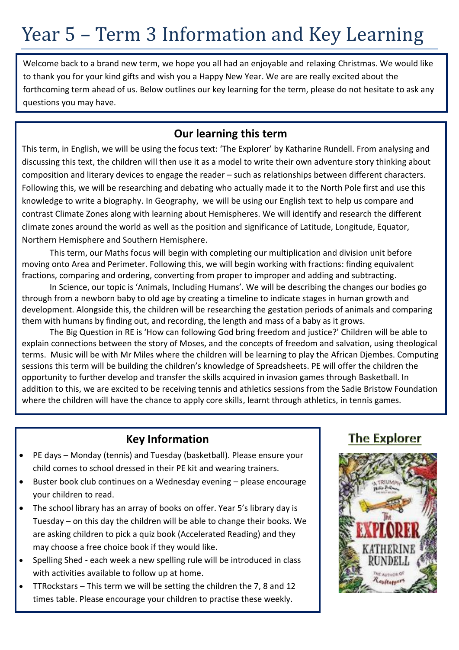# Year 5 – Term 3 Information and Key Learning

Welcome back to a brand new term, we hope you all had an enjoyable and relaxing Christmas. We would like to thank you for your kind gifts and wish you a Happy New Year. We are are really excited about the forthcoming term ahead of us. Below outlines our key learning for the term, please do not hesitate to ask any questions you may have.

#### **Our learning this term**

This term, in English, we will be using the focus text: 'The Explorer' by Katharine Rundell. From analysing and discussing this text, the children will then use it as a model to write their own adventure story thinking about composition and literary devices to engage the reader – such as relationships between different characters. Following this, we will be researching and debating who actually made it to the North Pole first and use this knowledge to write a biography. In Geography, we will be using our English text to help us compare and contrast Climate Zones along with learning about Hemispheres. We will identify and research the different climate zones around the world as well as the position and significance of Latitude, Longitude, Equator, Northern Hemisphere and Southern Hemisphere.

This term, our Maths focus will begin with completing our multiplication and division unit before moving onto Area and Perimeter. Following this, we will begin working with fractions: finding equivalent fractions, comparing and ordering, converting from proper to improper and adding and subtracting.

In Science, our topic is 'Animals, Including Humans'. We will be describing the changes our bodies go through from a newborn baby to old age by creating a timeline to indicate stages in human growth and development. Alongside this, the children will be researching the gestation periods of animals and comparing them with humans by finding out, and recording, the length and mass of a baby as it grows.

The Big Question in RE is 'How can following God bring freedom and justice?' Children will be able to explain connections between the story of Moses, and the concepts of freedom and salvation, using theological terms. Music will be with Mr Miles where the children will be learning to play the African Djembes. Computing sessions this term will be building the children's knowledge of Spreadsheets. PE will offer the children the opportunity to further develop and transfer the skills acquired in invasion games through Basketball. In addition to this, we are excited to be receiving tennis and athletics sessions from the Sadie Bristow Foundation where the children will have the chance to apply core skills, learnt through athletics, in tennis games.

#### **Key Information**

- PE days Monday (tennis) and Tuesday (basketball). Please ensure your child comes to school dressed in their PE kit and wearing trainers.
- Buster book club continues on a Wednesday evening please encourage your children to read.
- The school library has an array of books on offer. Year 5's library day is Tuesday – on this day the children will be able to change their books. We are asking children to pick a quiz book (Accelerated Reading) and they may choose a free choice book if they would like.
- Spelling Shed each week a new spelling rule will be introduced in class with activities available to follow up at home.
- TTRockstars This term we will be setting the children the 7, 8 and 12 times table. Please encourage your children to practise these weekly.

### **The Explorer**